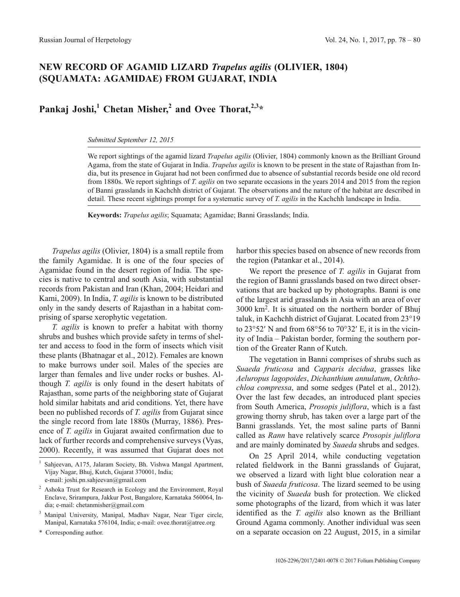## **NEW RECORD OF AGAMID LIZARD** *Trapelus agilis* **(OLIVIER, 1804) (SQUAMATA: AGAMIDAE) FROM GUJARAT, INDIA**

## **Pankaj Joshi,**<sup>1</sup> **Chetan Misher,**<sup>2</sup> **and Ovee Thorat**,<sup>2,3</sup>\*

*Submitted September 12, 2015*

We report sightings of the agamid lizard *Trapelus agilis* (Olivier, 1804) commonly known as the Brilliant Ground Agama, from the state of Gujarat in India. *Trapelus agilis* is known to be present in the state of Rajasthan from India, but its presence in Gujarat had not been confirmed due to absence of substantial records beside one old record from 1880s. We report sightings of *T. agilis* on two separate occasions in the years 2014 and 2015 from the region of Banni grasslands in Kachchh district of Gujarat. The observations and the nature of the habitat are described in detail. These recent sightings prompt for a systematic survey of *T. agilis* in the Kachchh landscape in India.

**Keywords:** *Trapelus agilis*; Squamata; Agamidae; Banni Grasslands; India.

*Trapelus agilis* (Olivier, 1804) is a small reptile from the family Agamidae. It is one of the four species of Agamidae found in the desert region of India. The species is native to central and south Asia, with substantial records from Pakistan and Iran (Khan, 2004; Heidari and Kami, 2009). In India, *T. agilis* is known to be distributed only in the sandy deserts of Rajasthan in a habitat comprising of sparse xerophytic vegetation.

*T. agilis* is known to prefer a habitat with thorny shrubs and bushes which provide safety in terms of shelter and access to food in the form of insects which visit these plants (Bhatnagar et al., 2012). Females are known to make burrows under soil. Males of the species are larger than females and live under rocks or bushes. Although *T. agilis* is only found in the desert habitats of Rajasthan, some parts of the neighboring state of Gujarat hold similar habitats and arid conditions. Yet, there have been no published records of *T. agilis* from Gujarat since the single record from late 1880s (Murray, 1886). Presence of *T. agilis* in Gujarat awaited confirmation due to lack of further records and comprehensive surveys (Vyas, 2000). Recently, it was assumed that Gujarat does not

Corresponding author.

harbor this species based on absence of new records from the region (Patankar et al., 2014).

We report the presence of *T. agilis* in Gujarat from the region of Banni grasslands based on two direct observations that are backed up by photographs. Banni is one of the largest arid grasslands in Asia with an area of over 3000 km2. It is situated on the northern border of Bhuj taluk, in Kachchh district of Gujarat. Located from 23°19<br>to 23°52′ N and from 68°56 to 70°32′ E, it is in the vicinto  $23^{\circ}52'$  N and from  $68^{\circ}56$  to  $70^{\circ}32'$  E, it is in the vicinity of India – Pakistan border, forming the southern portion of the Greater Rann of Kutch.

The vegetation in Banni comprises of shrubs such as *Suaeda fruticosa* and *Capparis decidua*, grasses like *Aeluropus lagopoides*, *Dichanthium annulatum*, *Ochthochloa compressa*, and some sedges (Patel et al., 2012). Over the last few decades, an introduced plant species from South America, *Prosopis juliflora*, which is a fast growing thorny shrub, has taken over a large part of the Banni grasslands. Yet, the most saline parts of Banni called as *Rann* have relatively scarce *Prosopis juliflora* and are mainly dominated by *Suaeda* shrubs and sedges.

On 25 April 2014, while conducting vegetation related fieldwork in the Banni grasslands of Gujarat, we observed a lizard with light blue coloration near a bush of *Suaeda fruticosa*. The lizard seemed to be using the vicinity of *Suaeda* bush for protection. We clicked some photographs of the lizard, from which it was later identified as the *T. agilis* also known as the Brilliant Ground Agama commonly. Another individual was seen on a separate occasion on 22 August, 2015, in a similar

<sup>1</sup> Sahjeevan, A175, Jalaram Society, Bh. Vishwa Mangal Apartment, Vijay Nagar, Bhuj, Kutch, Gujarat 370001, India;

e-mail: joshi.pn.sahjeevan@gmail.com

<sup>2</sup> Ashoka Trust for Research in Ecology and the Environment, Royal Enclave, Srirampura, Jakkur Post, Bangalore, Karnataka 560064, India; e-mail: chetanmisher@gmail.com

<sup>3</sup> Manipal University, Manipal, Madhav Nagar, Near Tiger circle, Manipal, Karnataka 576104, India; e-mail: ovee.thorat@atree.org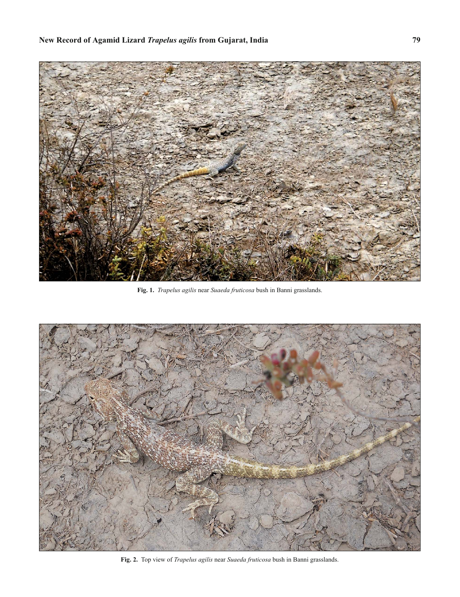

**Fig. 1.** *Trapelus agilis* near *Suaeda fruticosa* bush in Banni grasslands.



**Fig. 2.** Top view of *Trapelus agilis* near *Suaeda fruticosa* bush in Banni grasslands.